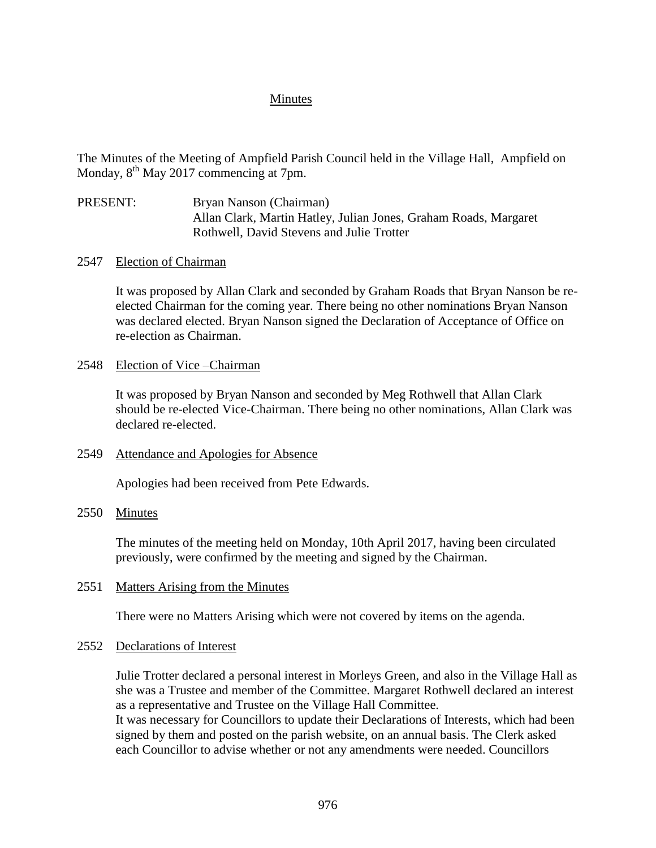## Minutes

The Minutes of the Meeting of Ampfield Parish Council held in the Village Hall, Ampfield on Monday, 8<sup>th</sup> May 2017 commencing at 7pm.

- PRESENT: Bryan Nanson (Chairman) Allan Clark, Martin Hatley, Julian Jones, Graham Roads, Margaret Rothwell, David Stevens and Julie Trotter
- 2547 Election of Chairman

It was proposed by Allan Clark and seconded by Graham Roads that Bryan Nanson be reelected Chairman for the coming year. There being no other nominations Bryan Nanson was declared elected. Bryan Nanson signed the Declaration of Acceptance of Office on re-election as Chairman.

2548 Election of Vice –Chairman

It was proposed by Bryan Nanson and seconded by Meg Rothwell that Allan Clark should be re-elected Vice-Chairman. There being no other nominations, Allan Clark was declared re-elected.

2549 Attendance and Apologies for Absence

Apologies had been received from Pete Edwards.

2550 Minutes

The minutes of the meeting held on Monday, 10th April 2017, having been circulated previously, were confirmed by the meeting and signed by the Chairman.

2551 Matters Arising from the Minutes

There were no Matters Arising which were not covered by items on the agenda.

2552 Declarations of Interest

Julie Trotter declared a personal interest in Morleys Green, and also in the Village Hall as she was a Trustee and member of the Committee. Margaret Rothwell declared an interest as a representative and Trustee on the Village Hall Committee. It was necessary for Councillors to update their Declarations of Interests, which had been signed by them and posted on the parish website, on an annual basis. The Clerk asked each Councillor to advise whether or not any amendments were needed. Councillors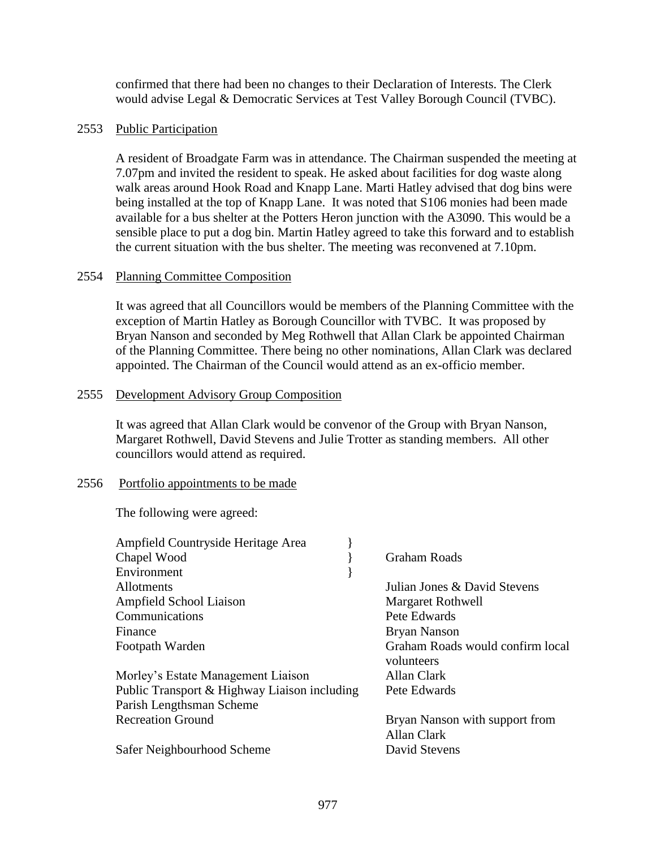confirmed that there had been no changes to their Declaration of Interests. The Clerk would advise Legal & Democratic Services at Test Valley Borough Council (TVBC).

# 2553 Public Participation

A resident of Broadgate Farm was in attendance. The Chairman suspended the meeting at 7.07pm and invited the resident to speak. He asked about facilities for dog waste along walk areas around Hook Road and Knapp Lane. Marti Hatley advised that dog bins were being installed at the top of Knapp Lane. It was noted that S106 monies had been made available for a bus shelter at the Potters Heron junction with the A3090. This would be a sensible place to put a dog bin. Martin Hatley agreed to take this forward and to establish the current situation with the bus shelter. The meeting was reconvened at 7.10pm.

## 2554 Planning Committee Composition

It was agreed that all Councillors would be members of the Planning Committee with the exception of Martin Hatley as Borough Councillor with TVBC. It was proposed by Bryan Nanson and seconded by Meg Rothwell that Allan Clark be appointed Chairman of the Planning Committee. There being no other nominations, Allan Clark was declared appointed. The Chairman of the Council would attend as an ex-officio member.

## 2555 Development Advisory Group Composition

It was agreed that Allan Clark would be convenor of the Group with Bryan Nanson, Margaret Rothwell, David Stevens and Julie Trotter as standing members. All other councillors would attend as required.

## 2556 Portfolio appointments to be made

The following were agreed:

| Ampfield Countryside Heritage Area           |                          |                                  |
|----------------------------------------------|--------------------------|----------------------------------|
| Chapel Wood                                  | Graham Roads             |                                  |
| Environment                                  |                          |                                  |
| <b>Allotments</b>                            |                          | Julian Jones & David Stevens     |
| Ampfield School Liaison                      | <b>Margaret Rothwell</b> |                                  |
| Communications                               | Pete Edwards             |                                  |
| Finance                                      | <b>Bryan Nanson</b>      |                                  |
| Footpath Warden                              |                          | Graham Roads would confirm local |
|                                              | volunteers               |                                  |
| Morley's Estate Management Liaison           | Allan Clark              |                                  |
| Public Transport & Highway Liaison including | Pete Edwards             |                                  |
| Parish Lengthsman Scheme                     |                          |                                  |
| <b>Recreation Ground</b>                     |                          | Bryan Nanson with support from   |
|                                              | Allan Clark              |                                  |
| Safer Neighbourhood Scheme                   | David Stevens            |                                  |
|                                              |                          |                                  |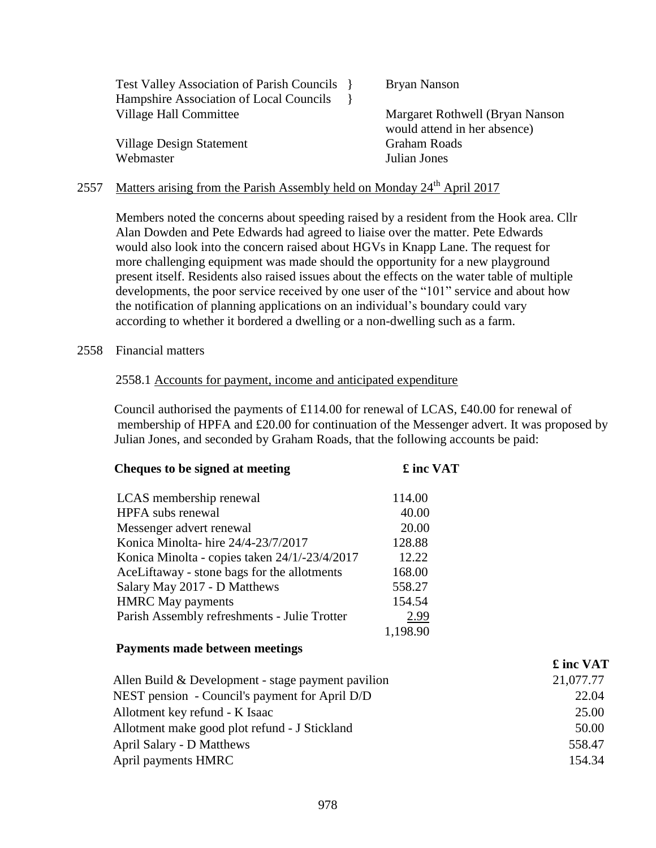| <b>Test Valley Association of Parish Councils</b> | <b>Bryan Nanson</b>                                              |
|---------------------------------------------------|------------------------------------------------------------------|
| Hampshire Association of Local Councils           |                                                                  |
| Village Hall Committee                            | Margaret Rothwell (Bryan Nanson)<br>would attend in her absence) |
| Village Design Statement                          | <b>Graham Roads</b>                                              |
| Webmaster                                         | Julian Jones                                                     |

# 2557 Matters arising from the Parish Assembly held on Monday 24<sup>th</sup> April 2017

Members noted the concerns about speeding raised by a resident from the Hook area. Cllr Alan Dowden and Pete Edwards had agreed to liaise over the matter. Pete Edwards would also look into the concern raised about HGVs in Knapp Lane. The request for more challenging equipment was made should the opportunity for a new playground present itself. Residents also raised issues about the effects on the water table of multiple developments, the poor service received by one user of the "101" service and about how the notification of planning applications on an individual's boundary could vary according to whether it bordered a dwelling or a non-dwelling such as a farm.

#### 2558 Financial matters

#### 2558.1 Accounts for payment, income and anticipated expenditure

 Council authorised the payments of £114.00 for renewal of LCAS, £40.00 for renewal of membership of HPFA and £20.00 for continuation of the Messenger advert. It was proposed by Julian Jones, and seconded by Graham Roads, that the following accounts be paid:

| Cheques to be signed at meeting                    | £ inc VAT |           |
|----------------------------------------------------|-----------|-----------|
| LCAS membership renewal                            | 114.00    |           |
| HPFA subs renewal                                  | 40.00     |           |
| Messenger advert renewal                           | 20.00     |           |
| Konica Minolta-hire 24/4-23/7/2017                 | 128.88    |           |
| Konica Minolta - copies taken 24/1/-23/4/2017      | 12.22     |           |
| AceLiftaway - stone bags for the allotments        | 168.00    |           |
| Salary May 2017 - D Matthews                       | 558.27    |           |
| <b>HMRC May payments</b>                           | 154.54    |           |
| Parish Assembly refreshments - Julie Trotter       | 2.99      |           |
|                                                    | 1,198.90  |           |
| Payments made between meetings                     |           |           |
|                                                    |           | £ inc VAT |
| Allen Build & Development - stage payment pavilion |           | 21,077.77 |
| NEST pension - Council's payment for April D/D     |           | 22.04     |
| Allotment key refund - K Isaac                     |           | 25.00     |
| Allotment make good plot refund - J Stickland      |           | 50.00     |
| April Salary - D Matthews                          |           | 558.47    |
| April payments HMRC                                |           | 154.34    |
|                                                    |           |           |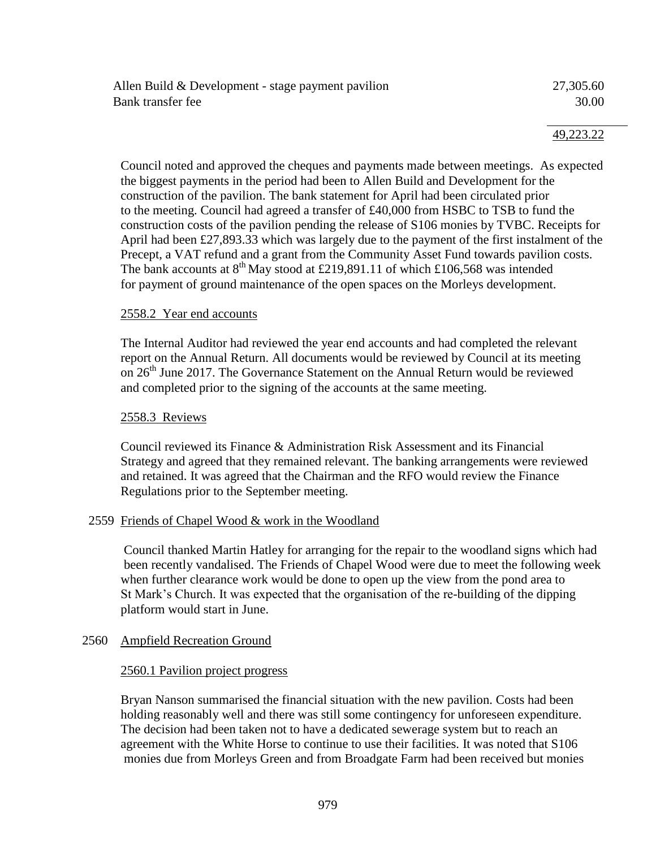| Allen Build & Development - stage payment pavilion | 27,305.60 |
|----------------------------------------------------|-----------|
| Bank transfer fee                                  | 30.00     |

Council noted and approved the cheques and payments made between meetings. As expected the biggest payments in the period had been to Allen Build and Development for the construction of the pavilion. The bank statement for April had been circulated prior to the meeting. Council had agreed a transfer of £40,000 from HSBC to TSB to fund the construction costs of the pavilion pending the release of S106 monies by TVBC. Receipts for April had been £27,893.33 which was largely due to the payment of the first instalment of the Precept, a VAT refund and a grant from the Community Asset Fund towards pavilion costs. The bank accounts at  $8^{th}$  May stood at £219,891.11 of which £106,568 was intended for payment of ground maintenance of the open spaces on the Morleys development.

#### 2558.2 Year end accounts

The Internal Auditor had reviewed the year end accounts and had completed the relevant report on the Annual Return. All documents would be reviewed by Council at its meeting on  $26<sup>th</sup>$  June 2017. The Governance Statement on the Annual Return would be reviewed and completed prior to the signing of the accounts at the same meeting.

### 2558.3 Reviews

Council reviewed its Finance & Administration Risk Assessment and its Financial Strategy and agreed that they remained relevant. The banking arrangements were reviewed and retained. It was agreed that the Chairman and the RFO would review the Finance Regulations prior to the September meeting.

#### 2559 Friends of Chapel Wood & work in the Woodland

 Council thanked Martin Hatley for arranging for the repair to the woodland signs which had been recently vandalised. The Friends of Chapel Wood were due to meet the following week when further clearance work would be done to open up the view from the pond area to St Mark's Church. It was expected that the organisation of the re-building of the dipping platform would start in June.

#### 2560 Ampfield Recreation Ground

#### 2560.1 Pavilion project progress

Bryan Nanson summarised the financial situation with the new pavilion. Costs had been holding reasonably well and there was still some contingency for unforeseen expenditure. The decision had been taken not to have a dedicated sewerage system but to reach an agreement with the White Horse to continue to use their facilities. It was noted that S106 monies due from Morleys Green and from Broadgate Farm had been received but monies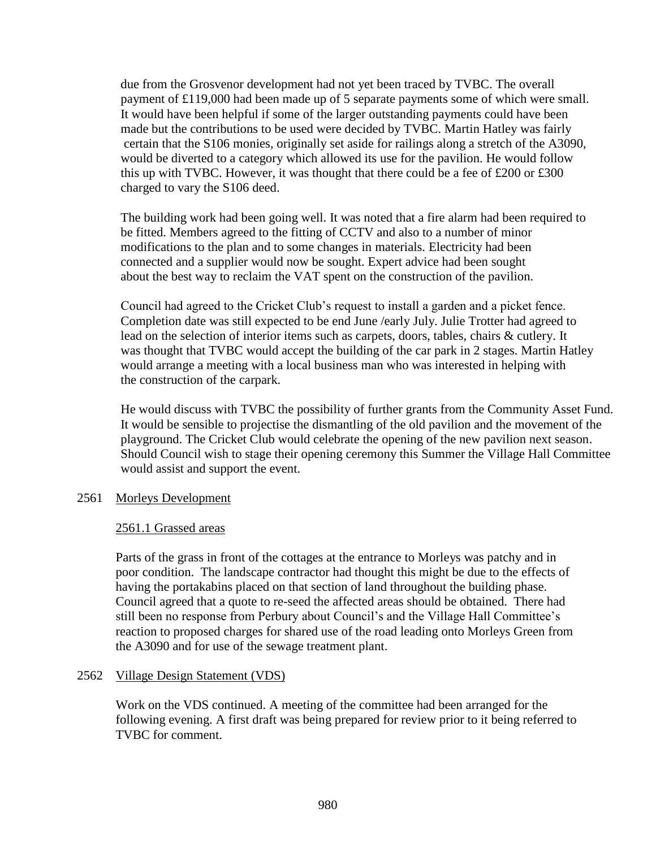due from the Grosvenor development had not yet been traced by TVBC. The overall payment of £119,000 had been made up of 5 separate payments some of which were small. It would have been helpful if some of the larger outstanding payments could have been made but the contributions to be used were decided by TVBC. Martin Hatley was fairly certain that the S106 monies, originally set aside for railings along a stretch of the A3090, would be diverted to a category which allowed its use for the pavilion. He would follow this up with TVBC. However, it was thought that there could be a fee of £200 or £300 charged to vary the S106 deed.

The building work had been going well. It was noted that a fire alarm had been required to be fitted. Members agreed to the fitting of CCTV and also to a number of minor modifications to the plan and to some changes in materials. Electricity had been connected and a supplier would now be sought. Expert advice had been sought about the best way to reclaim the VAT spent on the construction of the pavilion.

Council had agreed to the Cricket Club's request to install a garden and a picket fence. Completion date was still expected to be end June /early July. Julie Trotter had agreed to lead on the selection of interior items such as carpets, doors, tables, chairs & cutlery. It was thought that TVBC would accept the building of the car park in 2 stages. Martin Hatley would arrange a meeting with a local business man who was interested in helping with the construction of the carpark*.*

He would discuss with TVBC the possibility of further grants from the Community Asset Fund. It would be sensible to projectise the dismantling of the old pavilion and the movement of the playground. The Cricket Club would celebrate the opening of the new pavilion next season. Should Council wish to stage their opening ceremony this Summer the Village Hall Committee would assist and support the event.

## 2561 Morleys Development

# 2561.1 Grassed areas

Parts of the grass in front of the cottages at the entrance to Morleys was patchy and in poor condition. The landscape contractor had thought this might be due to the effects of having the portakabins placed on that section of land throughout the building phase. Council agreed that a quote to re-seed the affected areas should be obtained. There had still been no response from Perbury about Council's and the Village Hall Committee's reaction to proposed charges for shared use of the road leading onto Morleys Green from the A3090 and for use of the sewage treatment plant.

## 2562 Village Design Statement (VDS)

Work on the VDS continued. A meeting of the committee had been arranged for the following evening. A first draft was being prepared for review prior to it being referred to TVBC for comment.